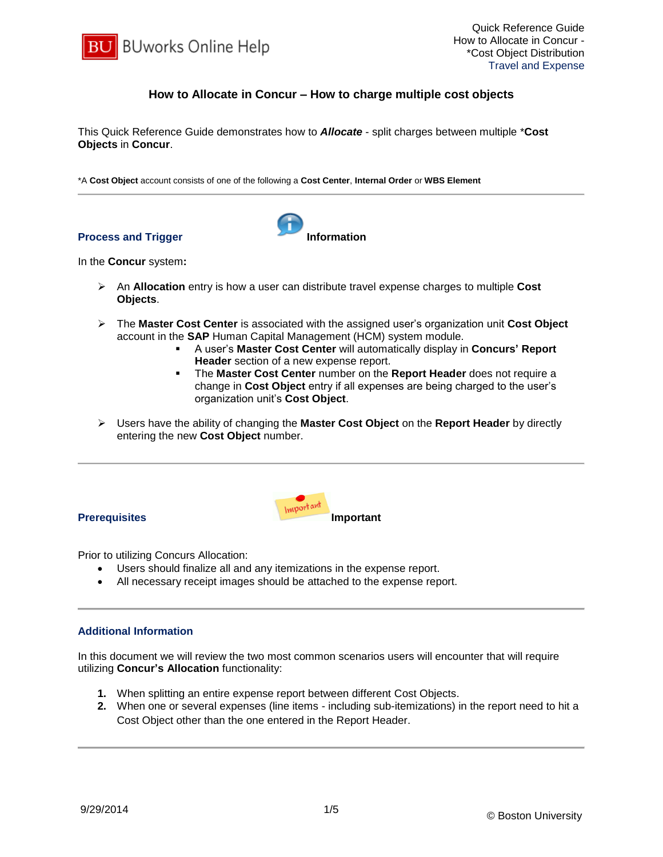

# **How to Allocate in Concur – How to charge multiple cost objects**

This Quick Reference Guide demonstrates how to *Allocate* - split charges between multiple \***Cost Objects** in **Concur**.

\*A **Cost Object** account consists of one of the following a **Cost Center**, **Internal Order** or **WBS Element**

### **Process and Trigger Information**



In the **Concur** system**:**

- An **Allocation** entry is how a user can distribute travel expense charges to multiple **Cost Objects**.
- The **Master Cost Center** is associated with the assigned user's organization unit **Cost Object** account in the **SAP** Human Capital Management (HCM) system module.
	- A user's **Master Cost Center** will automatically display in **Concurs' Report Header** section of a new expense report.
	- The **Master Cost Center** number on the **Report Header** does not require a change in **Cost Object** entry if all expenses are being charged to the user's organization unit's **Cost Object**.
- Users have the ability of changing the **Master Cost Object** on the **Report Header** by directly entering the new **Cost Object** number.



- Prior to utilizing Concurs Allocation:
	- Users should finalize all and any itemizations in the expense report.
	- All necessary receipt images should be attached to the expense report.

### **Additional Information**

In this document we will review the two most common scenarios users will encounter that will require utilizing **Concur's Allocation** functionality:

- **1.** When splitting an entire expense report between different Cost Objects.
- **2.** When one or several expenses (line items including sub-itemizations) in the report need to hit a Cost Object other than the one entered in the Report Header.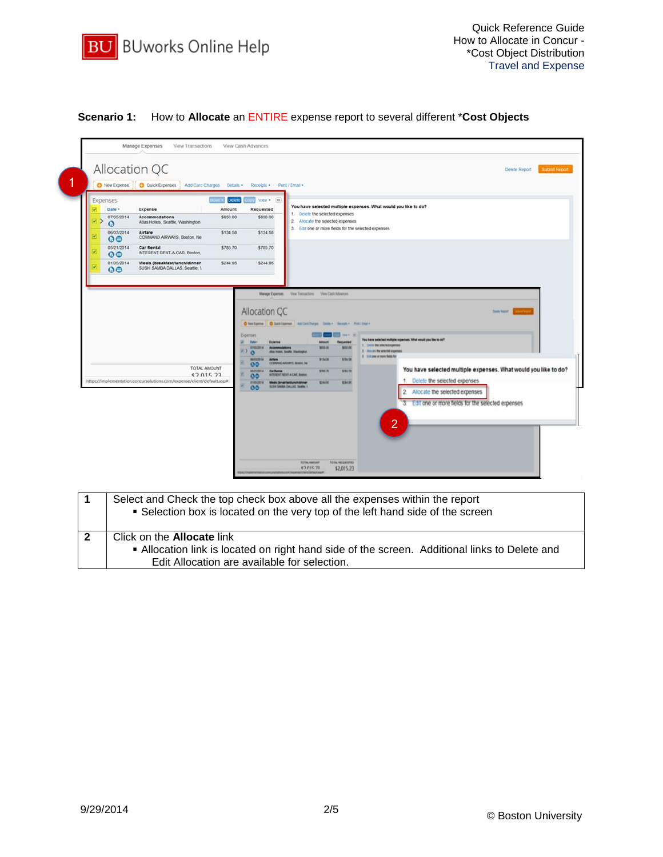

# **Scenario 1:** How to **Allocate** an ENTIRE expense report to several different \***Cost Objects**

| Expenses<br>Date -<br>Ø<br>$\circ\bullet$ | Expense<br>07/05/2014<br>Accommodations<br>Atlas Hotels, Seattle, Washington<br>06/03/2014<br>Airfare                                                            | $ne =$ Delete<br>Amount<br>\$850.00         | View . [46]<br>Requested<br>\$850.00                                                                                                                | You have selected multiple expenses. What would you like to do?<br>1. Delete the selected expenses                                                                                                                                                                                                                                                                                                                                                                                                                                                                                                                                                                                                                                                                                                                                                                |
|-------------------------------------------|------------------------------------------------------------------------------------------------------------------------------------------------------------------|---------------------------------------------|-----------------------------------------------------------------------------------------------------------------------------------------------------|-------------------------------------------------------------------------------------------------------------------------------------------------------------------------------------------------------------------------------------------------------------------------------------------------------------------------------------------------------------------------------------------------------------------------------------------------------------------------------------------------------------------------------------------------------------------------------------------------------------------------------------------------------------------------------------------------------------------------------------------------------------------------------------------------------------------------------------------------------------------|
|                                           | COMMAND AIRWAYS, Boston, Ne<br>05/21/2014<br><b>Car Rental</b><br>INTERENT RENT-A-CAR. Boston.<br>$\circ \bullet$<br>01/05/2014<br>Meals (breakfast/lunch/dinner | \$134.58<br>\$785.70<br>\$244.95            | \$134.58<br>\$785.70<br>\$244.95                                                                                                                    | 2. Allocate the selected expenses<br>3. Edit one or more fields for the selected expenses                                                                                                                                                                                                                                                                                                                                                                                                                                                                                                                                                                                                                                                                                                                                                                         |
|                                           | https://implementation.concursolutions.com/expense/client/default.asp#                                                                                           | $\rightarrow$ 0<br>TOTAL AMOUNT<br>\$201522 | Allocation QC<br>Expenses<br><b>Date</b> +<br>Expense<br>gresome<br>96012014<br>00<br><b>MAZYZDIVA</b><br><b>Car Rental</b><br>00<br>asespera<br>00 | <b>Delain Negari</b><br>O Network   O GAREGANA ANTIVERAGE DOME - Rengto - Politicals<br>Call Herr St<br>You have selected multiple experient. What would you like to do?<br><b>Requested</b><br>Almount<br>1. Door the interior experient<br><b>MARINE</b><br><b>MAD AB</b><br>2 All cars the settled expenses<br>Also meets, Scottis, Hashington<br>3 1 1 1 1 new or more ferm for<br>\$134.58<br>3154.58<br><b>Antiere</b><br>COMMAD ARTARYS, Boston, Inc.<br>You have selected multiple expenses. What would you like to do?<br>\$795.75<br>\$767.75<br><b><i>ICEURNE MENT-A-CAR, Boston,</i></b><br>1. Delete the selected expenses<br><b>SHERE</b><br><b>RFAA DE</b><br><b>Mexic (breakfastilunchidinner</b><br>SUBH SAMUA CALLAS, Seattle 1.<br>2. Allocate the selected expenses<br>3. Edit one or more fields for the selected expenses<br>$\overline{2}$ |

| Select and Check the top check box above all the expenses within the report<br>• Selection box is located on the very top of the left hand side of the screen                      |
|------------------------------------------------------------------------------------------------------------------------------------------------------------------------------------|
| Click on the <b>Allocate</b> link<br>. Allocation link is located on right hand side of the screen. Additional links to Delete and<br>Edit Allocation are available for selection. |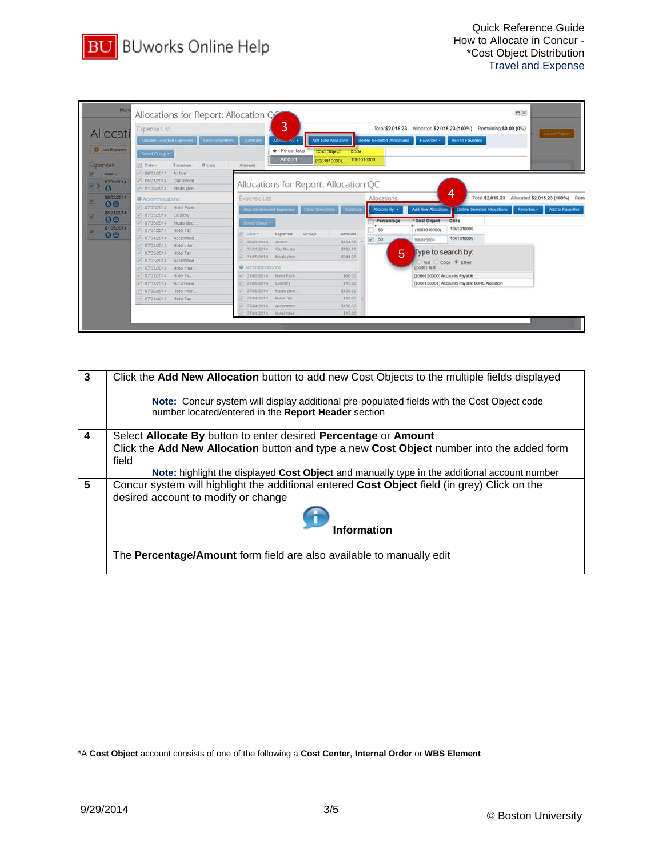

| Allocati                             | <b>Expense List</b><br>Allocate Selected Expenses     | Clear Selections        | Summary                     | 3<br>Allocanony .         | Add New Allocation                    |                      | Delete Selected Allocations | Total: \$2,015.23 Allocated: \$2,015.23 (100%) Remaining: \$0.00 (0%)<br>Favorites . | Add to Favorites                              |             | Submit Report                                    |
|--------------------------------------|-------------------------------------------------------|-------------------------|-----------------------------|---------------------------|---------------------------------------|----------------------|-----------------------------|--------------------------------------------------------------------------------------|-----------------------------------------------|-------------|--------------------------------------------------|
| O New Expense<br><b>Expenses</b>     | Select Group .<br>ur Date -                           | Expense<br>Group        | Amount                      | · Percentage<br>Amount    | Cost Object<br>(1061010000).          | Code<br>1061010000   |                             |                                                                                      |                                               |             |                                                  |
| 國<br>Date +<br>07/05/2014<br>回う<br>ω | 06/03/2014<br>05/21/2014<br>$-01/05/2014$ Meals (bre. | Airfare<br>Car Rental   |                             |                           | Allocations for Report: Allocation QC |                      |                             |                                                                                      |                                               |             |                                                  |
| 06/03/2014<br>國                      | Accommodations                                        |                         | <b>Expense List</b>         |                           |                                       |                      | Allocations                 |                                                                                      | 4                                             |             | Total \$2,015.23 Allocated \$2,015.23 (100%) Rem |
| $\circ$<br>05/21/2014<br>図           | 07/05/2014<br>07/05/2014                              | Hotel Parki<br>Laundry  | Allocate Selected Expenses  |                           | Clear Selections                      | Summary              | Allocate By: +              | Add New Altocation                                                                   | Delete Selected Allocations                   | Favorites . | Add to Favorites                                 |
| $\bullet$<br>01/05/2014<br>Ø.        | 07/05/2014<br>07/04/2014                              | Meals (bre<br>Hotel Tax | Select Group .              |                           |                                       |                      | Percentage<br>50            | Cost Object<br>(1061010000).                                                         | Code<br>1061010000                            |             |                                                  |
| $\bullet$                            | 07/04/2014<br>07/04/2014                              | Accommod<br>Hotel Inter | <b>Date</b> +<br>06/03/2014 | Expanse<br>Airtare        | Group                                 | Amount<br>\$134.56   | $\frac{3}{2}$ 50            | 106015000                                                                            | 1061010000                                    |             |                                                  |
|                                      | 07/03/2014<br>07/03/2014                              | Hotel Tax<br>Accommod.  | 05/21/2014<br>01/05/2014    | Car Rental<br>Meals (bre) |                                       | \$785.70<br>\$244.95 | 5                           |                                                                                      | Type to search by:                            |             |                                                  |
|                                      | 07/03/2014                                            | Hotel Inter             | C Accommodations            |                           |                                       |                      |                             | (Code) Text                                                                          | Text Code C Either                            |             |                                                  |
|                                      | 07/02/2014                                            | Hotel Tax               | 07/05/2014                  | Hotel Parki               |                                       | \$90.00              |                             | (1060150000) Accounts Payable                                                        |                                               |             |                                                  |
|                                      | 07/02/2014                                            | Accommod                | 07/05/2014                  | Laundry                   |                                       | \$15.00              |                             |                                                                                      | (1060150001) Accounts Payable BUMC Allocation |             |                                                  |
|                                      | 07/02/2014                                            | Hotel Inter             | 07/05/2014                  | Meals (bre)               |                                       | \$125.00             |                             |                                                                                      |                                               |             |                                                  |
|                                      | 07/01/2014 Hotel Tax                                  |                         | 07/04/2014                  | Hotel Tax                 |                                       | \$10.00              |                             |                                                                                      |                                               |             |                                                  |
|                                      |                                                       |                         | 07/04/2014                  | Accommod.                 |                                       | \$130.00             |                             |                                                                                      |                                               |             |                                                  |

| 3                       | Click the Add New Allocation button to add new Cost Objects to the multiple fields displayed                                                             |
|-------------------------|----------------------------------------------------------------------------------------------------------------------------------------------------------|
|                         | <b>Note:</b> Concur system will display additional pre-populated fields with the Cost Object code<br>number located/entered in the Report Header section |
| $\overline{\mathbf{4}}$ | Select Allocate By button to enter desired Percentage or Amount                                                                                          |
|                         | Click the Add New Allocation button and type a new Cost Object number into the added form                                                                |
|                         | field                                                                                                                                                    |
|                         | Note: highlight the displayed Cost Object and manually type in the additional account number                                                             |
| 5                       | Concur system will highlight the additional entered Cost Object field (in grey) Click on the                                                             |
|                         | desired account to modify or change                                                                                                                      |
|                         | Information                                                                                                                                              |
|                         | The Percentage/Amount form field are also available to manually edit                                                                                     |

\*A **Cost Object** account consists of one of the following a **Cost Center**, **Internal Order** or **WBS Element**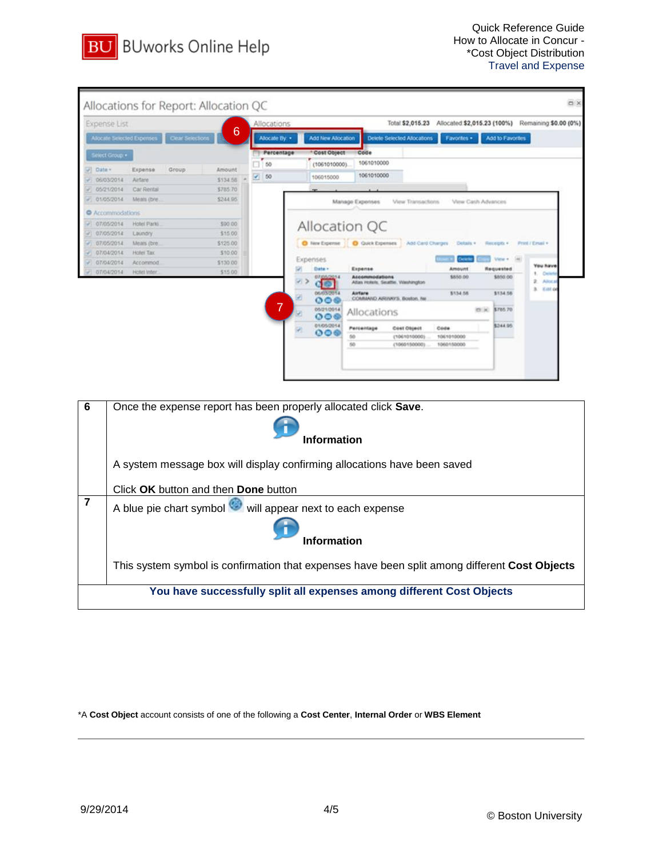

| <b>Expense List</b>       |                       |                  |                      | Allocations    |                                                                                       |                                                                                   |                                             | Total \$2,015.23 Allocated \$2,015.23 (100%) Remaining \$0.00 (0%) |                     |                                     |
|---------------------------|-----------------------|------------------|----------------------|----------------|---------------------------------------------------------------------------------------|-----------------------------------------------------------------------------------|---------------------------------------------|--------------------------------------------------------------------|---------------------|-------------------------------------|
| Alocate Selected Expenses |                       | Clear Selections | 6                    | Alocate By: •  | Add New Afrocation                                                                    |                                                                                   | Delete Selected Atlocations                 | Favorites .                                                        | Add to Favorites    |                                     |
| Select Group +            |                       |                  |                      | Percentage     | Cost Object                                                                           | Code                                                                              |                                             |                                                                    |                     |                                     |
|                           |                       |                  |                      | 50             | (1061010000)                                                                          | 1061010000                                                                        |                                             |                                                                    |                     |                                     |
| Date -                    | Expense               | Group            | Amount               | 50<br>×        | 106015000                                                                             | 1061010000                                                                        |                                             |                                                                    |                     |                                     |
| 06/03/2014<br>05/21/2014  | Airfare<br>Car Rental |                  | \$134.55<br>\$785.70 |                |                                                                                       |                                                                                   |                                             |                                                                    |                     |                                     |
| 01/05/2014                | Meals (bre)           |                  | \$244.95             |                |                                                                                       |                                                                                   |                                             |                                                                    |                     |                                     |
|                           |                       |                  |                      |                |                                                                                       | Manage Expenses                                                                   | View Transactions                           | View Cash Advances                                                 |                     |                                     |
| C Accommodations          |                       |                  |                      |                |                                                                                       |                                                                                   |                                             |                                                                    |                     |                                     |
| 07/05/2014                | Hotel Parki           |                  | \$90.00              |                | Allocation QC                                                                         |                                                                                   |                                             |                                                                    |                     |                                     |
| 07/05/2014                | Laundry               |                  | \$15.00              |                |                                                                                       |                                                                                   |                                             |                                                                    |                     |                                     |
| 07/05/2014                | Meats (bre)           |                  | \$125.00             |                |                                                                                       | O New Expense   O Quick Expenses                                                  | Add Card Charges                            | Details v                                                          | Receipts +          | Print / Email +                     |
| 07/04/2014                | Hotel Tax             |                  | \$10.00              |                | Expenses                                                                              |                                                                                   |                                             |                                                                    | Vide 4              |                                     |
| 07/04/2014                | Accommod.             |                  | \$130.00             |                | Date +                                                                                | Ехрепке                                                                           |                                             | Amount                                                             | Requested           | You have                            |
| 07/04/2014                | Hotel Inter           |                  | \$15.00              |                |                                                                                       | Accommodations                                                                    |                                             | \$550.00                                                           | \$850.00            | Order                               |
|                           |                       |                  |                      |                | 06/03/2014<br>006                                                                     | Atlas Hotels, Seattle, Washington<br><b>AirTare</b><br>COMMAND ARIVAYS, Boston, N |                                             | \$134.58                                                           | \$134.58            | <b>Abot</b> a<br><b>E</b> chill die |
|                           |                       |                  |                      | $\overline{7}$ | 05/21/2014<br>രട<br>01/05/2014<br>000                                                 | Allocations<br>Percentage<br>fiifi<br>50                                          | Cost Object<br>(1061010000)<br>(1060150000) | <b>CK</b><br>Códe<br>1061010000<br>1060150000                      | \$765.70<br>5344.95 |                                     |
|                           |                       |                  |                      |                |                                                                                       |                                                                                   |                                             |                                                                    |                     |                                     |
|                           |                       |                  |                      |                | Once the expense report has been properly allocated click Save.<br><b>Information</b> |                                                                                   |                                             |                                                                    |                     |                                     |

|  |  |  | Click OK button and then Done button |  |
|--|--|--|--------------------------------------|--|
|  |  |  |                                      |  |

|  | A blue pie chart symbol will appear next to each expense |
|--|----------------------------------------------------------|
|--|----------------------------------------------------------|



This system symbol is confirmation that expenses have been split among different **Cost Objects**

**You have successfully split all expenses among different Cost Objects**

\*A **Cost Object** account consists of one of the following a **Cost Center**, **Internal Order** or **WBS Element**